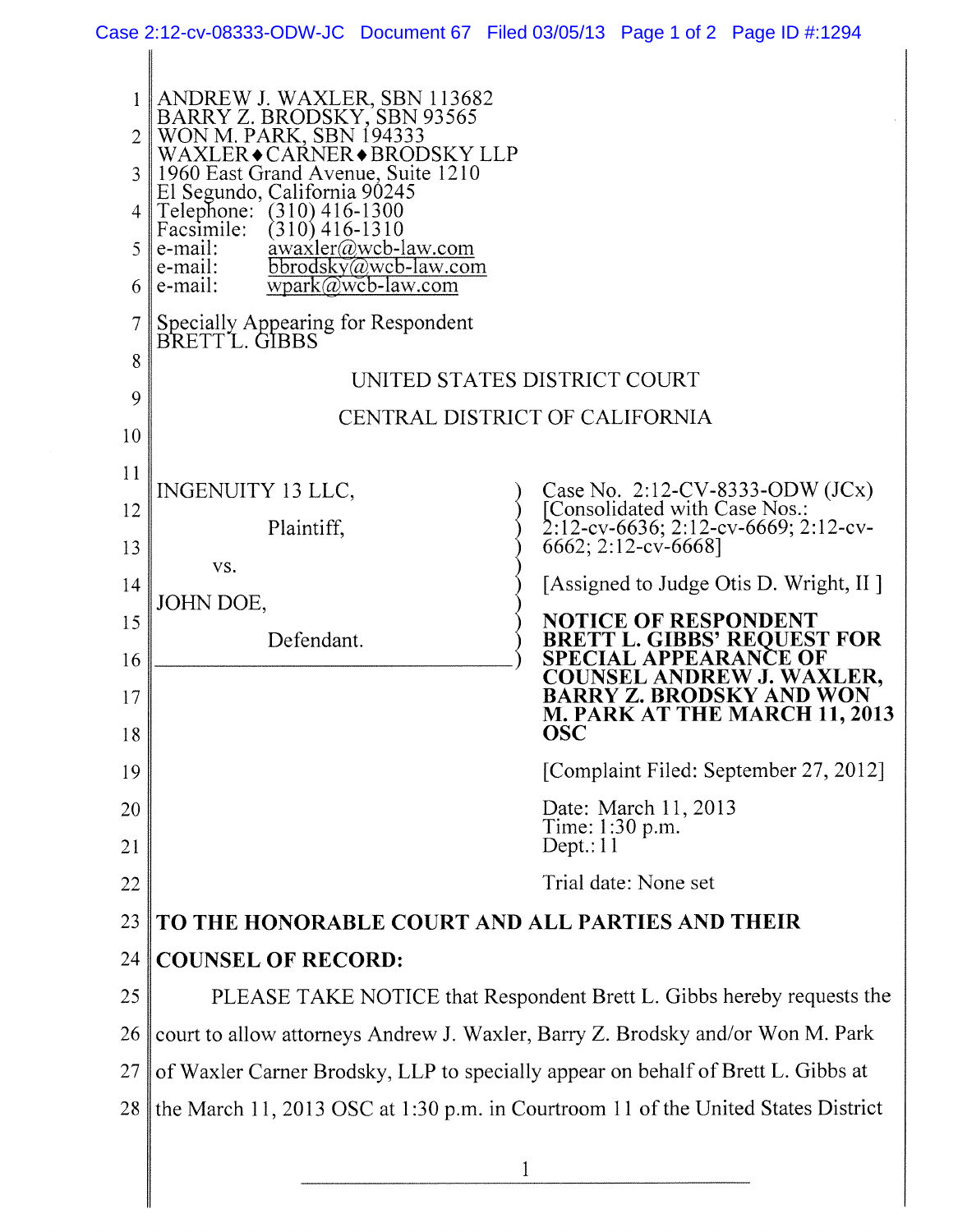|                                                       |                                                                                                                                                                                                                                                                                                                                                                                                                           | Case 2:12-cv-08333-ODW-JC Document 67 Filed 03/05/13 Page 1 of 2 Page ID #:1294 |
|-------------------------------------------------------|---------------------------------------------------------------------------------------------------------------------------------------------------------------------------------------------------------------------------------------------------------------------------------------------------------------------------------------------------------------------------------------------------------------------------|---------------------------------------------------------------------------------|
| $\overline{2}$<br>$4 \parallel$<br>$5 \parallel$<br>6 | ANDREW J. WAXLER, SBN 113682<br>BARRY Z. BRODSKY, SBN 93565<br>WON M. PARK, SBN 194333<br>WAXLER◆CARNER◆BRODSKY LLP<br>1960 East Grand Avenue, Suite 1210<br>El Segundo, California 90245<br>Telephone: (310) 416-1300<br>Facsimile:<br>$(310)$ 416-1310<br>awaxler@wcb-law.com<br>e-mail:<br>$bbrodsky@web-law.com$<br>e-mail:<br>$wpark@wcb-law.com$<br>e-mail:<br>Specially Appearing for Respondent<br>BRETT L. GIBBS |                                                                                 |
| 8                                                     | UNITED STATES DISTRICT COURT                                                                                                                                                                                                                                                                                                                                                                                              |                                                                                 |
| 9                                                     | CENTRAL DISTRICT OF CALIFORNIA                                                                                                                                                                                                                                                                                                                                                                                            |                                                                                 |
| 10                                                    |                                                                                                                                                                                                                                                                                                                                                                                                                           |                                                                                 |
| 11                                                    | <b>INGENUITY 13 LLC,</b>                                                                                                                                                                                                                                                                                                                                                                                                  | Case No. 2:12-CV-8333-ODW (JCx)                                                 |
| 12                                                    |                                                                                                                                                                                                                                                                                                                                                                                                                           | [Consolidated with Case Nos.:                                                   |
| 13                                                    | Plaintiff,                                                                                                                                                                                                                                                                                                                                                                                                                | 2:12-cv-6636; 2:12-cv-6669; 2:12-cv-<br>6662; 2:12-cv-6668]                     |
| 14                                                    | VS.                                                                                                                                                                                                                                                                                                                                                                                                                       | [Assigned to Judge Otis D. Wright, II]                                          |
| 15                                                    | JOHN DOE,                                                                                                                                                                                                                                                                                                                                                                                                                 | <b>NOTICE OF RESPONDENT</b>                                                     |
| 16                                                    | Defendant.                                                                                                                                                                                                                                                                                                                                                                                                                | <b>BRETT L. GIBBS' REQUEST FOR</b><br><b>SPECIAL APPEARANCE OF</b>              |
| 17                                                    |                                                                                                                                                                                                                                                                                                                                                                                                                           | <b>COUNSEL ANDREW J. WAXLER.</b><br>BARRY Z. BRODSKY AND WON                    |
| 18                                                    |                                                                                                                                                                                                                                                                                                                                                                                                                           | <b>M. PARK AT THE MARCH 11, 2013</b><br><b>OSC</b>                              |
| 19                                                    |                                                                                                                                                                                                                                                                                                                                                                                                                           | [Complaint Filed: September 27, 2012]                                           |
| 20                                                    |                                                                                                                                                                                                                                                                                                                                                                                                                           | Date: March 11, 2013<br>Time: 1:30 p.m.                                         |
| 21                                                    |                                                                                                                                                                                                                                                                                                                                                                                                                           | Dept.: $11$                                                                     |
| 22                                                    |                                                                                                                                                                                                                                                                                                                                                                                                                           | Trial date: None set                                                            |
| 23                                                    | TO THE HONORABLE COURT AND ALL PARTIES AND THEIR                                                                                                                                                                                                                                                                                                                                                                          |                                                                                 |
| 24                                                    | <b>COUNSEL OF RECORD:</b>                                                                                                                                                                                                                                                                                                                                                                                                 |                                                                                 |
| 25                                                    | PLEASE TAKE NOTICE that Respondent Brett L. Gibbs hereby requests the                                                                                                                                                                                                                                                                                                                                                     |                                                                                 |
| 26                                                    | court to allow attorneys Andrew J. Waxler, Barry Z. Brodsky and/or Won M. Park                                                                                                                                                                                                                                                                                                                                            |                                                                                 |
| 27                                                    | of Waxler Carner Brodsky, LLP to specially appear on behalf of Brett L. Gibbs at                                                                                                                                                                                                                                                                                                                                          |                                                                                 |
| 28                                                    | the March 11, 2013 OSC at 1:30 p.m. in Courtroom 11 of the United States District                                                                                                                                                                                                                                                                                                                                         |                                                                                 |
|                                                       | 1                                                                                                                                                                                                                                                                                                                                                                                                                         |                                                                                 |